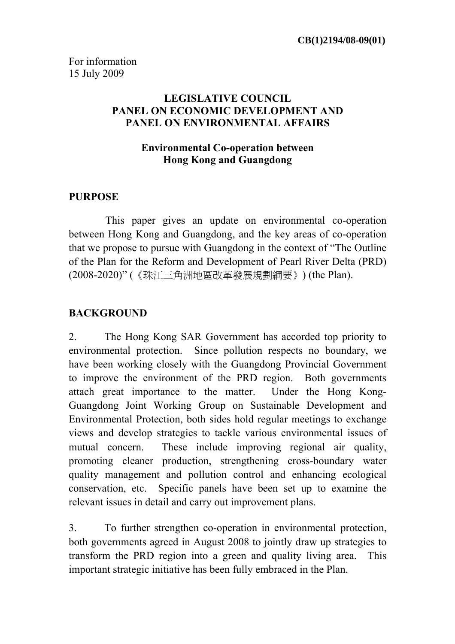### **LEGISLATIVE COUNCIL PANEL ON ECONOMIC DEVELOPMENT AND PANEL ON ENVIRONMENTAL AFFAIRS**

### **Environmental Co-operation between Hong Kong and Guangdong**

### **PURPOSE**

 This paper gives an update on environmental co-operation between Hong Kong and Guangdong, and the key areas of co-operation that we propose to pursue with Guangdong in the context of "The Outline of the Plan for the Reform and Development of Pearl River Delta (PRD) (2008-2020)" (《珠江三角洲地區改革發展規劃綱要》) (the Plan).

# **BACKGROUND**

2. The Hong Kong SAR Government has accorded top priority to environmental protection. Since pollution respects no boundary, we have been working closely with the Guangdong Provincial Government to improve the environment of the PRD region. Both governments attach great importance to the matter. Under the Hong Kong-Guangdong Joint Working Group on Sustainable Development and Environmental Protection, both sides hold regular meetings to exchange views and develop strategies to tackle various environmental issues of mutual concern. These include improving regional air quality, promoting cleaner production, strengthening cross-boundary water quality management and pollution control and enhancing ecological conservation, etc. Specific panels have been set up to examine the relevant issues in detail and carry out improvement plans.

3. To further strengthen co-operation in environmental protection, both governments agreed in August 2008 to jointly draw up strategies to transform the PRD region into a green and quality living area. This important strategic initiative has been fully embraced in the Plan.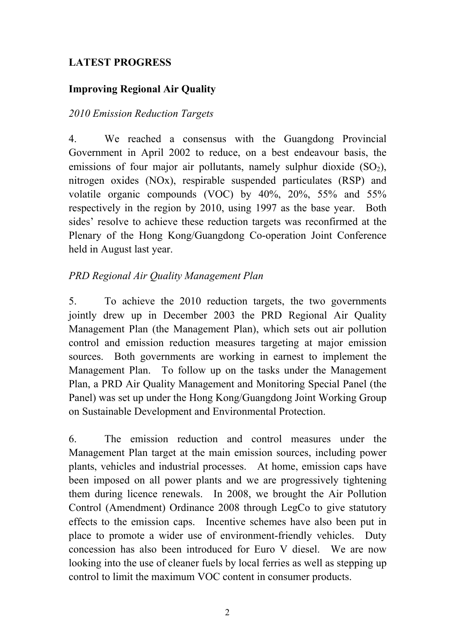# **LATEST PROGRESS**

# **Improving Regional Air Quality**

# *2010 Emission Reduction Targets*

4. We reached a consensus with the Guangdong Provincial Government in April 2002 to reduce, on a best endeavour basis, the emissions of four major air pollutants, namely sulphur dioxide  $(SO<sub>2</sub>)$ , nitrogen oxides (NOx), respirable suspended particulates (RSP) and volatile organic compounds (VOC) by 40%, 20%, 55% and 55% respectively in the region by 2010, using 1997 as the base year. Both sides' resolve to achieve these reduction targets was reconfirmed at the Plenary of the Hong Kong/Guangdong Co-operation Joint Conference held in August last year.

# *PRD Regional Air Quality Management Plan*

5. To achieve the 2010 reduction targets, the two governments jointly drew up in December 2003 the PRD Regional Air Quality Management Plan (the Management Plan), which sets out air pollution control and emission reduction measures targeting at major emission sources. Both governments are working in earnest to implement the Management Plan. To follow up on the tasks under the Management Plan, a PRD Air Quality Management and Monitoring Special Panel (the Panel) was set up under the Hong Kong/Guangdong Joint Working Group on Sustainable Development and Environmental Protection.

6. The emission reduction and control measures under the Management Plan target at the main emission sources, including power plants, vehicles and industrial processes. At home, emission caps have been imposed on all power plants and we are progressively tightening them during licence renewals. In 2008, we brought the Air Pollution Control (Amendment) Ordinance 2008 through LegCo to give statutory effects to the emission caps. Incentive schemes have also been put in place to promote a wider use of environment-friendly vehicles. Duty concession has also been introduced for Euro V diesel. We are now looking into the use of cleaner fuels by local ferries as well as stepping up control to limit the maximum VOC content in consumer products.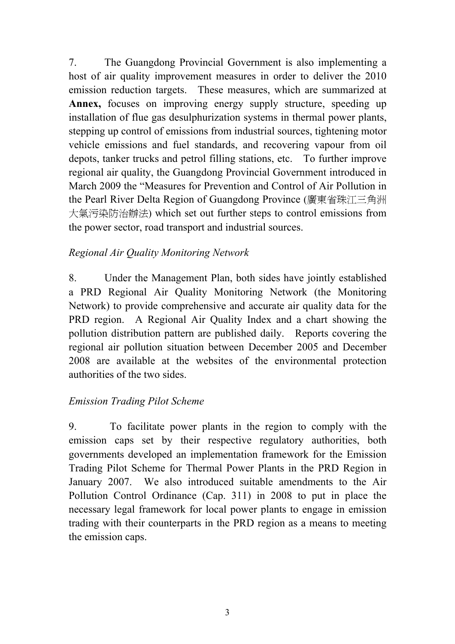7. The Guangdong Provincial Government is also implementing a host of air quality improvement measures in order to deliver the 2010 emission reduction targets. These measures, which are summarized at **Annex,** focuses on improving energy supply structure, speeding up installation of flue gas desulphurization systems in thermal power plants, stepping up control of emissions from industrial sources, tightening motor vehicle emissions and fuel standards, and recovering vapour from oil depots, tanker trucks and petrol filling stations, etc. To further improve regional air quality, the Guangdong Provincial Government introduced in March 2009 the "Measures for Prevention and Control of Air Pollution in the Pearl River Delta Region of Guangdong Province (廣東省珠江三角洲 大氣污染防治辦法) which set out further steps to control emissions from the power sector, road transport and industrial sources.

# *Regional Air Quality Monitoring Network*

8. Under the Management Plan, both sides have jointly established a PRD Regional Air Quality Monitoring Network (the Monitoring Network) to provide comprehensive and accurate air quality data for the PRD region. A Regional Air Quality Index and a chart showing the pollution distribution pattern are published daily. Reports covering the regional air pollution situation between December 2005 and December 2008 are available at the websites of the environmental protection authorities of the two sides.

# *Emission Trading Pilot Scheme*

9. To facilitate power plants in the region to comply with the emission caps set by their respective regulatory authorities, both governments developed an implementation framework for the Emission Trading Pilot Scheme for Thermal Power Plants in the PRD Region in January 2007. We also introduced suitable amendments to the Air Pollution Control Ordinance (Cap. 311) in 2008 to put in place the necessary legal framework for local power plants to engage in emission trading with their counterparts in the PRD region as a means to meeting the emission caps.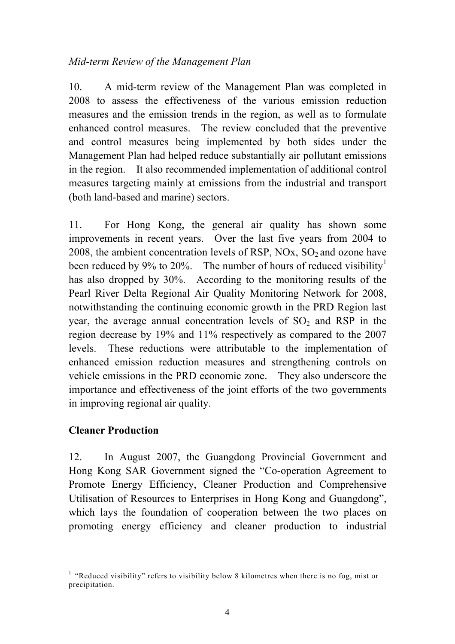### *Mid-term Review of the Management Plan*

10. A mid-term review of the Management Plan was completed in 2008 to assess the effectiveness of the various emission reduction measures and the emission trends in the region, as well as to formulate enhanced control measures. The review concluded that the preventive and control measures being implemented by both sides under the Management Plan had helped reduce substantially air pollutant emissions in the region. It also recommended implementation of additional control measures targeting mainly at emissions from the industrial and transport (both land-based and marine) sectors.

11. For Hong Kong, the general air quality has shown some improvements in recent years. Over the last five years from 2004 to 2008, the ambient concentration levels of RSP,  $NOx$ ,  $SO<sub>2</sub>$  and ozone have been reduced by 9% to 20%. The number of hours of reduced visibility<sup>1</sup> has also dropped by 30%. According to the monitoring results of the Pearl River Delta Regional Air Quality Monitoring Network for 2008, notwithstanding the continuing economic growth in the PRD Region last year, the average annual concentration levels of  $SO<sub>2</sub>$  and RSP in the region decrease by 19% and 11% respectively as compared to the 2007 levels. These reductions were attributable to the implementation of enhanced emission reduction measures and strengthening controls on vehicle emissions in the PRD economic zone. They also underscore the importance and effectiveness of the joint efforts of the two governments in improving regional air quality.

# **Cleaner Production**

 $\overline{a}$ 

12. In August 2007, the Guangdong Provincial Government and Hong Kong SAR Government signed the "Co-operation Agreement to Promote Energy Efficiency, Cleaner Production and Comprehensive Utilisation of Resources to Enterprises in Hong Kong and Guangdong", which lays the foundation of cooperation between the two places on promoting energy efficiency and cleaner production to industrial

 $<sup>1</sup>$  "Reduced visibility" refers to visibility below 8 kilometres when there is no fog, mist or</sup> precipitation.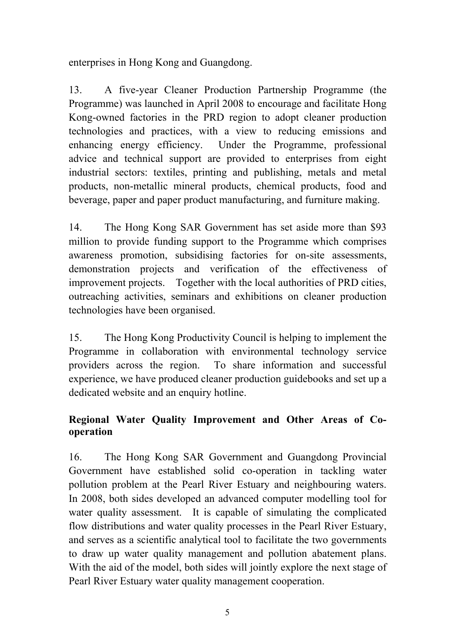enterprises in Hong Kong and Guangdong.

13. A five-year Cleaner Production Partnership Programme (the Programme) was launched in April 2008 to encourage and facilitate Hong Kong-owned factories in the PRD region to adopt cleaner production technologies and practices, with a view to reducing emissions and enhancing energy efficiency. Under the Programme, professional advice and technical support are provided to enterprises from eight industrial sectors: textiles, printing and publishing, metals and metal products, non-metallic mineral products, chemical products, food and beverage, paper and paper product manufacturing, and furniture making.

14. The Hong Kong SAR Government has set aside more than \$93 million to provide funding support to the Programme which comprises awareness promotion, subsidising factories for on-site assessments, demonstration projects and verification of the effectiveness of improvement projects. Together with the local authorities of PRD cities, outreaching activities, seminars and exhibitions on cleaner production technologies have been organised.

15. The Hong Kong Productivity Council is helping to implement the Programme in collaboration with environmental technology service providers across the region. To share information and successful experience, we have produced cleaner production guidebooks and set up a dedicated website and an enquiry hotline.

# **Regional Water Quality Improvement and Other Areas of Cooperation**

16. The Hong Kong SAR Government and Guangdong Provincial Government have established solid co-operation in tackling water pollution problem at the Pearl River Estuary and neighbouring waters. In 2008, both sides developed an advanced computer modelling tool for water quality assessment. It is capable of simulating the complicated flow distributions and water quality processes in the Pearl River Estuary, and serves as a scientific analytical tool to facilitate the two governments to draw up water quality management and pollution abatement plans. With the aid of the model, both sides will jointly explore the next stage of Pearl River Estuary water quality management cooperation.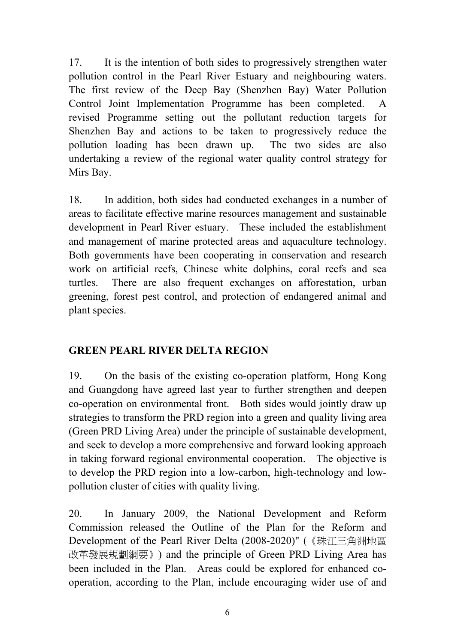17. It is the intention of both sides to progressively strengthen water pollution control in the Pearl River Estuary and neighbouring waters. The first review of the Deep Bay (Shenzhen Bay) Water Pollution Control Joint Implementation Programme has been completed. A revised Programme setting out the pollutant reduction targets for Shenzhen Bay and actions to be taken to progressively reduce the pollution loading has been drawn up. The two sides are also undertaking a review of the regional water quality control strategy for Mirs Bay.

18. In addition, both sides had conducted exchanges in a number of areas to facilitate effective marine resources management and sustainable development in Pearl River estuary. These included the establishment and management of marine protected areas and aquaculture technology. Both governments have been cooperating in conservation and research work on artificial reefs, Chinese white dolphins, coral reefs and sea turtles. There are also frequent exchanges on afforestation, urban greening, forest pest control, and protection of endangered animal and plant species.

# **GREEN PEARL RIVER DELTA REGION**

19. On the basis of the existing co-operation platform, Hong Kong and Guangdong have agreed last year to further strengthen and deepen co-operation on environmental front. Both sides would jointly draw up strategies to transform the PRD region into a green and quality living area (Green PRD Living Area) under the principle of sustainable development, and seek to develop a more comprehensive and forward looking approach in taking forward regional environmental cooperation. The objective is to develop the PRD region into a low-carbon, high-technology and lowpollution cluster of cities with quality living.

20. In January 2009, the National Development and Reform Commission released the Outline of the Plan for the Reform and Development of the Pearl River Delta (2008-2020)" (《珠江三角洲地區 改革發展規劃綱要》) and the principle of Green PRD Living Area has been included in the Plan. Areas could be explored for enhanced cooperation, according to the Plan, include encouraging wider use of and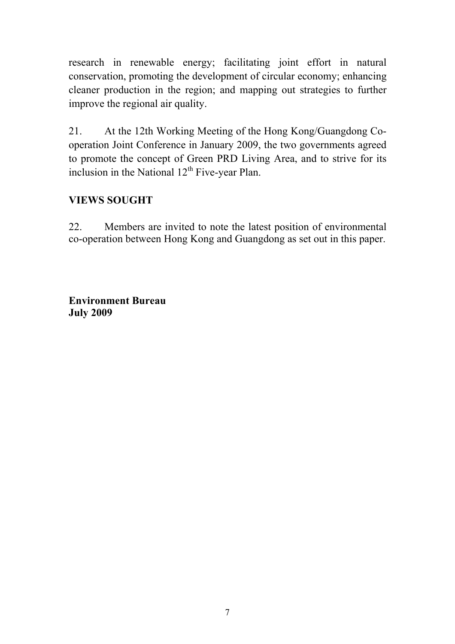research in renewable energy; facilitating joint effort in natural conservation, promoting the development of circular economy; enhancing cleaner production in the region; and mapping out strategies to further improve the regional air quality.

21. At the 12th Working Meeting of the Hong Kong/Guangdong Cooperation Joint Conference in January 2009, the two governments agreed to promote the concept of Green PRD Living Area, and to strive for its inclusion in the National  $12<sup>th</sup>$  Five-year Plan.

# **VIEWS SOUGHT**

22. Members are invited to note the latest position of environmental co-operation between Hong Kong and Guangdong as set out in this paper.

**Environment Bureau July 2009**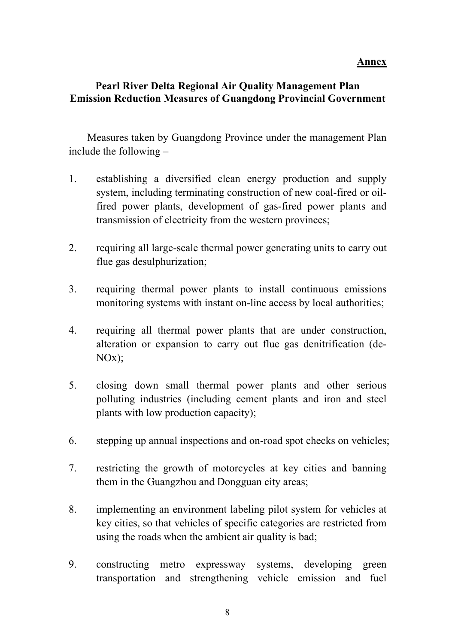#### **Annex**

# **Pearl River Delta Regional Air Quality Management Plan Emission Reduction Measures of Guangdong Provincial Government**

 Measures taken by Guangdong Province under the management Plan include the following –

- 1. establishing a diversified clean energy production and supply system, including terminating construction of new coal-fired or oilfired power plants, development of gas-fired power plants and transmission of electricity from the western provinces;
- 2. requiring all large-scale thermal power generating units to carry out flue gas desulphurization;
- 3. requiring thermal power plants to install continuous emissions monitoring systems with instant on-line access by local authorities;
- 4. requiring all thermal power plants that are under construction, alteration or expansion to carry out flue gas denitrification (de- $NOx$ :
- 5. closing down small thermal power plants and other serious polluting industries (including cement plants and iron and steel plants with low production capacity);
- 6. stepping up annual inspections and on-road spot checks on vehicles;
- 7. restricting the growth of motorcycles at key cities and banning them in the Guangzhou and Dongguan city areas;
- 8. implementing an environment labeling pilot system for vehicles at key cities, so that vehicles of specific categories are restricted from using the roads when the ambient air quality is bad;
- 9. constructing metro expressway systems, developing green transportation and strengthening vehicle emission and fuel